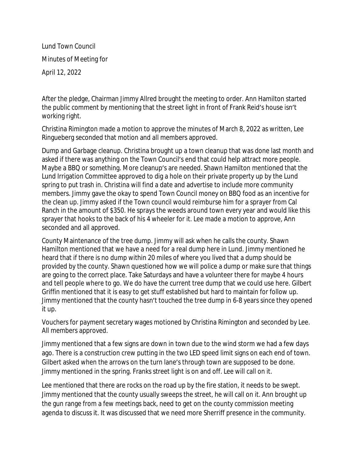Lund Town Council Minutes of Meeting for April 12, 2022

After the pledge, Chairman Jimmy Allred brought the meeting to order. Ann Hamilton started the public comment by mentioning that the street light in front of Frank Reid's house isn't working right.

Christina Rimington made a motion to approve the minutes of March 8, 2022 as written, Lee Ringueberg seconded that motion and all members approved.

Dump and Garbage cleanup. Christina brought up a town cleanup that was done last month and asked if there was anything on the Town Council's end that could help attract more people. Maybe a BBQ or something. More cleanup's are needed. Shawn Hamilton mentioned that the Lund Irrigation Committee approved to dig a hole on their private property up by the Lund spring to put trash in. Christina will find a date and advertise to include more community members. Jimmy gave the okay to spend Town Council money on BBQ food as an incentive for the clean up. Jimmy asked if the Town council would reimburse him for a sprayer from Cal Ranch in the amount of \$350. He sprays the weeds around town every year and would like this sprayer that hooks to the back of his 4 wheeler for it. Lee made a motion to approve, Ann seconded and all approved.

County Maintenance of the tree dump. Jimmy will ask when he calls the county. Shawn Hamilton mentioned that we have a need for a real dump here in Lund. Jimmy mentioned he heard that if there is no dump within 20 miles of where you lived that a dump should be provided by the county. Shawn questioned how we will police a dump or make sure that things are going to the correct place. Take Saturdays and have a volunteer there for maybe 4 hours and tell people where to go. We do have the current tree dump that we could use here. Gilbert Griffin mentioned that it is easy to get stuff established but hard to maintain for follow up. Jimmy mentioned that the county hasn't touched the tree dump in 6-8 years since they opened it up.

Vouchers for payment secretary wages motioned by Christina Rimington and seconded by Lee. All members approved.

Jimmy mentioned that a few signs are down in town due to the wind storm we had a few days ago. There is a construction crew putting in the two LED speed limit signs on each end of town. Gilbert asked when the arrows on the turn lane's through town are supposed to be done. Jimmy mentioned in the spring. Franks street light is on and off. Lee will call on it.

Lee mentioned that there are rocks on the road up by the fire station, it needs to be swept. Jimmy mentioned that the county usually sweeps the street, he will call on it. Ann brought up the gun range from a few meetings back, need to get on the county commission meeting agenda to discuss it. It was discussed that we need more Sherriff presence in the community.